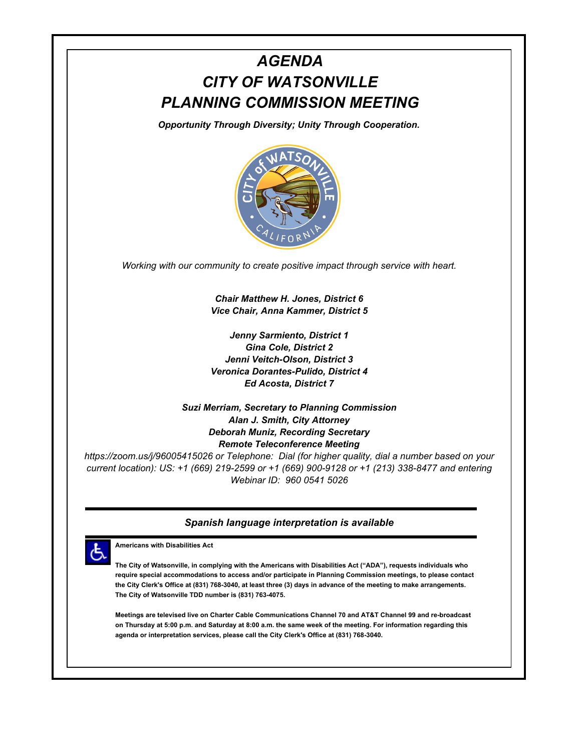# *AGENDA CITY OF WATSONVILLE PLANNING COMMISSION MEETING*

*Opportunity Through Diversity; Unity Through Cooperation.*



*Working with our community to create positive impact through service with heart.*

*Chair Matthew H. Jones, District 6 Vice Chair, Anna Kammer, District 5*

*Jenny Sarmiento, District 1 Gina Cole, District 2 Jenni Veitch-Olson, District 3 Veronica Dorantes-Pulido, District 4 Ed Acosta, District 7*

*Suzi Merriam, Secretary to Planning Commission Alan J. Smith, City Attorney Deborah Muniz, Recording Secretary Remote Teleconference Meeting*

*https://zoom.us/j/96005415026 or Telephone: Dial (for higher quality, dial a number based on your current location): US: +1 (669) 219-2599 or +1 (669) 900-9128 or +1 (213) 338-8477 and entering Webinar ID: 960 0541 5026*

#### *Spanish language interpretation is available*



**Americans with Disabilities Act**

**The City of Watsonville, in complying with the Americans with Disabilities Act ("ADA"), requests individuals who require special accommodations to access and/or participate in Planning Commission meetings, to please contact the City Clerk's Office at (831) 768-3040, at least three (3) days in advance of the meeting to make arrangements. The City of Watsonville TDD number is (831) 763-4075.** 

**Meetings are televised live on Charter Cable Communications Channel 70 and AT&T Channel 99 and re-broadcast on Thursday at 5:00 p.m. and Saturday at 8:00 a.m. the same week of the meeting. For information regarding this agenda or interpretation services, please call the City Clerk's Office at (831) 768-3040.**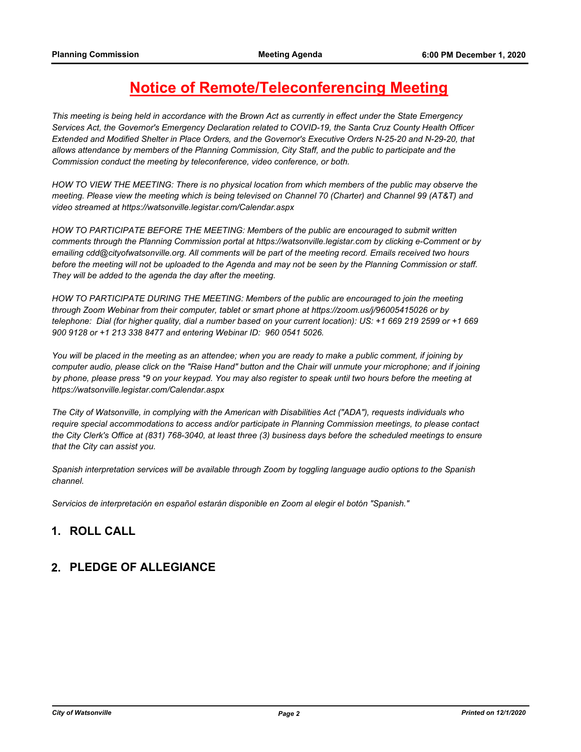## **Notice of Remote/Teleconferencing Meeting**

*This meeting is being held in accordance with the Brown Act as currently in effect under the State Emergency Services Act, the Governor's Emergency Declaration related to COVID-19, the Santa Cruz County Health Officer Extended and Modified Shelter in Place Orders, and the Governor's Executive Orders N-25-20 and N-29-20, that allows attendance by members of the Planning Commission, City Staff, and the public to participate and the Commission conduct the meeting by teleconference, video conference, or both.*

*HOW TO VIEW THE MEETING: There is no physical location from which members of the public may observe the meeting. Please view the meeting which is being televised on Channel 70 (Charter) and Channel 99 (AT&T) and video streamed at https://watsonville.legistar.com/Calendar.aspx*

*HOW TO PARTICIPATE BEFORE THE MEETING: Members of the public are encouraged to submit written comments through the Planning Commission portal at https://watsonville.legistar.com by clicking e-Comment or by emailing cdd@cityofwatsonville.org. All comments will be part of the meeting record. Emails received two hours*  before the meeting will not be uploaded to the Agenda and may not be seen by the Planning Commission or staff. *They will be added to the agenda the day after the meeting.*

*HOW TO PARTICIPATE DURING THE MEETING: Members of the public are encouraged to join the meeting through Zoom Webinar from their computer, tablet or smart phone at https://zoom.us/j/96005415026 or by telephone: Dial (for higher quality, dial a number based on your current location): US: +1 669 219 2599 or +1 669 900 9128 or +1 213 338 8477 and entering Webinar ID: 960 0541 5026.*

*You will be placed in the meeting as an attendee; when you are ready to make a public comment, if joining by*  computer audio, please click on the "Raise Hand" button and the Chair will unmute your microphone; and if joining by phone, please press \*9 on your keypad. You may also register to speak until two hours before the meeting at *https://watsonville.legistar.com/Calendar.aspx*

*The City of Watsonville, in complying with the American with Disabilities Act ("ADA"), requests individuals who*  require special accommodations to access and/or participate in Planning Commission meetings, to please contact *the City Clerk's Office at (831) 768-3040, at least three (3) business days before the scheduled meetings to ensure that the City can assist you.*

*Spanish interpretation services will be available through Zoom by toggling language audio options to the Spanish channel.*

*Servicios de interpretación en español estarán disponible en Zoom al elegir el botón "Spanish."*

## **1. ROLL CALL**

#### **2. PLEDGE OF ALLEGIANCE**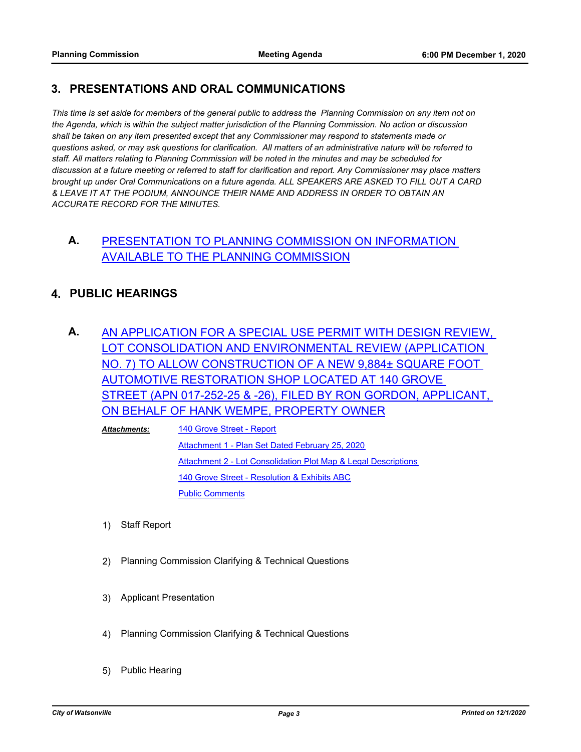#### **3. PRESENTATIONS AND ORAL COMMUNICATIONS**

*This time is set aside for members of the general public to address the Planning Commission on any item not on the Agenda, which is within the subject matter jurisdiction of the Planning Commission. No action or discussion shall be taken on any item presented except that any Commissioner may respond to statements made or questions asked, or may ask questions for clarification. All matters of an administrative nature will be referred to staff. All matters relating to Planning Commission will be noted in the minutes and may be scheduled for discussion at a future meeting or referred to staff for clarification and report. Any Commissioner may place matters brought up under Oral Communications on a future agenda. ALL SPEAKERS ARE ASKED TO FILL OUT A CARD & LEAVE IT AT THE PODIUM, ANNOUNCE THEIR NAME AND ADDRESS IN ORDER TO OBTAIN AN ACCURATE RECORD FOR THE MINUTES.*

## **A.** [PRESENTATION TO PLANNING COMMISSION ON INFORMATION](http://watsonville.legistar.com/gateway.aspx?m=l&id=/matter.aspx?key=3520)  AVAILABLE TO THE PLANNING COMMISSION

## **4. PUBLIC HEARINGS**

**A.** [AN APPLICATION FOR A SPECIAL USE PERMIT WITH DESIGN REVIEW,](http://watsonville.legistar.com/gateway.aspx?m=l&id=/matter.aspx?key=3484)  LOT CONSOLIDATION AND ENVIRONMENTAL REVIEW (APPLICATION NO. 7) TO ALLOW CONSTRUCTION OF A NEW 9,884± SQUARE FOOT AUTOMOTIVE RESTORATION SHOP LOCATED AT 140 GROVE STREET (APN 017-252-25 & -26), FILED BY RON GORDON, APPLICANT, ON BEHALF OF HANK WEMPE, PROPERTY OWNER

[140 Grove Street - Report](http://watsonville.legistar.com/gateway.aspx?M=F&ID=2bfe7306-cee0-4450-830d-d12fa9e59361.pdf) [Attachment 1 - Plan Set Dated February 25, 2020](http://watsonville.legistar.com/gateway.aspx?M=F&ID=dd978903-a873-43e5-8fdf-ab41cf2a1ae0.pdf) [Attachment 2 - Lot Consolidation Plot Map & Legal Descriptions](http://watsonville.legistar.com/gateway.aspx?M=F&ID=862b3c70-cd0b-4767-a60c-6423872717a3.pdf) [140 Grove Street - Resolution & Exhibits ABC](http://watsonville.legistar.com/gateway.aspx?M=F&ID=4346e613-0637-4c0b-ac67-e135664fe014.pdf) [Public Comments](http://watsonville.legistar.com/gateway.aspx?M=F&ID=8126dec0-8c33-48e3-9519-acfedd2c92cb.pdf) *Attachments:*

- 1) Staff Report
- 2) Planning Commission Clarifying & Technical Questions
- 3) Applicant Presentation
- 4) Planning Commission Clarifying & Technical Questions
- 5) Public Hearing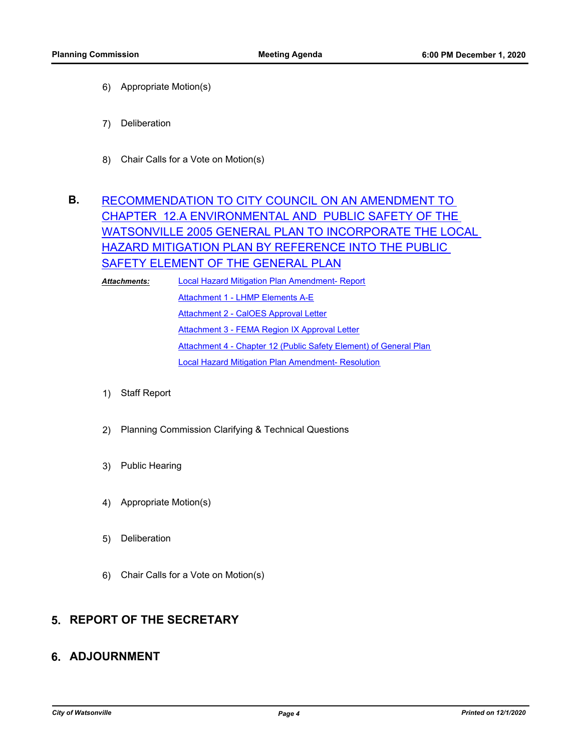- 6) Appropriate Motion(s)
- 7) Deliberation
- 8) Chair Calls for a Vote on Motion(s)

## **B.** RECOMMENDATION TO CITY COUNCIL ON AN AMENDMENT TO CHAPTER 12.A ENVIRONMENTAL AND PUBLIC SAFETY OF THE [WATSONVILLE 2005 GENERAL PLAN TO INCORPORATE THE LOCAL](http://watsonville.legistar.com/gateway.aspx?m=l&id=/matter.aspx?key=3485)  HAZARD MITIGATION PLAN BY REFERENCE INTO THE PUBLIC SAFETY ELEMENT OF THE GENERAL PLAN

[Local Hazard Mitigation Plan Amendment- Report](http://watsonville.legistar.com/gateway.aspx?M=F&ID=d2e82d0e-9472-4707-a619-1c3f3f342cdb.doc) [Attachment 1 - LHMP Elements A-E](http://watsonville.legistar.com/gateway.aspx?M=F&ID=731b2a87-9fdd-4de7-8cec-317132e733ae.pdf) **[Attachment 2 - CalOES Approval Letter](http://watsonville.legistar.com/gateway.aspx?M=F&ID=4c79bfb0-8748-4e15-b28e-7ece0f1cbf37.pdf)** [Attachment 3 - FEMA Region IX Approval Letter](http://watsonville.legistar.com/gateway.aspx?M=F&ID=8f29362d-0732-438a-9448-7876c9491dc2.pdf) [Attachment 4 - Chapter 12 \(Public Safety Element\) of General Plan](http://watsonville.legistar.com/gateway.aspx?M=F&ID=4b4d0040-fa4b-4196-abc4-3a1501427bc2.pdf) [Local Hazard Mitigation Plan Amendment- Resolution](http://watsonville.legistar.com/gateway.aspx?M=F&ID=b37d3236-7fdf-476f-ba61-d9b4359048ee.docx) *Attachments:*

- 1) Staff Report
- 2) Planning Commission Clarifying & Technical Questions
- 3) Public Hearing
- 4) Appropriate Motion(s)
- 5) Deliberation
- 6) Chair Calls for a Vote on Motion(s)

#### **5. REPORT OF THE SECRETARY**

#### **6. ADJOURNMENT**